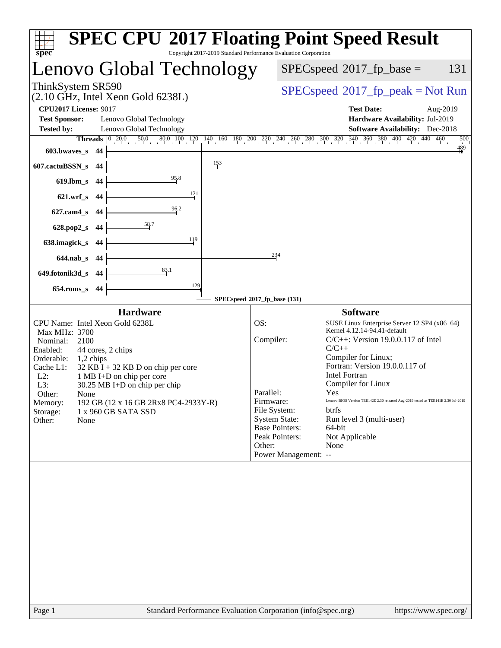| Copyright 2017-2019 Standard Performance Evaluation Corporation<br>$spec^*$                                                                                                                                                                                                                                                                                                                      | <b>SPEC CPU®2017 Floating Point Speed Result</b>                                                                                                                                                                                                                                                                                                                                                                                                                                                                                                                                        |
|--------------------------------------------------------------------------------------------------------------------------------------------------------------------------------------------------------------------------------------------------------------------------------------------------------------------------------------------------------------------------------------------------|-----------------------------------------------------------------------------------------------------------------------------------------------------------------------------------------------------------------------------------------------------------------------------------------------------------------------------------------------------------------------------------------------------------------------------------------------------------------------------------------------------------------------------------------------------------------------------------------|
| Lenovo Global Technology                                                                                                                                                                                                                                                                                                                                                                         | 131<br>$SPEC speed^{\circ}2017\_fp\_base =$                                                                                                                                                                                                                                                                                                                                                                                                                                                                                                                                             |
| ThinkSystem SR590<br>(2.10 GHz, Intel Xeon Gold 6238L)                                                                                                                                                                                                                                                                                                                                           | $SPEC speed^{\circ}2017\_fp\_peak = Not Run$                                                                                                                                                                                                                                                                                                                                                                                                                                                                                                                                            |
| <b>CPU2017 License: 9017</b>                                                                                                                                                                                                                                                                                                                                                                     | <b>Test Date:</b><br>Aug-2019                                                                                                                                                                                                                                                                                                                                                                                                                                                                                                                                                           |
| <b>Test Sponsor:</b><br>Lenovo Global Technology                                                                                                                                                                                                                                                                                                                                                 | Hardware Availability: Jul-2019                                                                                                                                                                                                                                                                                                                                                                                                                                                                                                                                                         |
| <b>Tested by:</b><br>Lenovo Global Technology                                                                                                                                                                                                                                                                                                                                                    | <b>Software Availability:</b> Dec-2018                                                                                                                                                                                                                                                                                                                                                                                                                                                                                                                                                  |
| $\begin{bmatrix} 0 & 20.0 \end{bmatrix}$<br>$50.0$ $80.0$ $100$ $120$<br><b>Threads</b>                                                                                                                                                                                                                                                                                                          | $140$ 160 180 200 220 240 260 280 300 320 340 360 380 400 420 440 460<br>500<br>$\frac{489}{11}$                                                                                                                                                                                                                                                                                                                                                                                                                                                                                        |
| $603.bwaves$ s<br>44                                                                                                                                                                                                                                                                                                                                                                             |                                                                                                                                                                                                                                                                                                                                                                                                                                                                                                                                                                                         |
| 153<br>607.cactuBSSN_s<br>44                                                                                                                                                                                                                                                                                                                                                                     |                                                                                                                                                                                                                                                                                                                                                                                                                                                                                                                                                                                         |
| 95.8<br>$619$ .lbm_s<br>44                                                                                                                                                                                                                                                                                                                                                                       |                                                                                                                                                                                                                                                                                                                                                                                                                                                                                                                                                                                         |
| 121<br>$621.wrf$ <sub>S</sub><br>-44                                                                                                                                                                                                                                                                                                                                                             |                                                                                                                                                                                                                                                                                                                                                                                                                                                                                                                                                                                         |
| 96.2<br>$627$ .cam $4$ <sub>S</sub><br>-44                                                                                                                                                                                                                                                                                                                                                       |                                                                                                                                                                                                                                                                                                                                                                                                                                                                                                                                                                                         |
| <u>58.7</u><br>628.pop2_s<br>44                                                                                                                                                                                                                                                                                                                                                                  |                                                                                                                                                                                                                                                                                                                                                                                                                                                                                                                                                                                         |
| 119<br>638.imagick_s<br>44                                                                                                                                                                                                                                                                                                                                                                       |                                                                                                                                                                                                                                                                                                                                                                                                                                                                                                                                                                                         |
| $644$ .nab $\overline{\phantom{a}}$<br>44                                                                                                                                                                                                                                                                                                                                                        | 234                                                                                                                                                                                                                                                                                                                                                                                                                                                                                                                                                                                     |
| 83.1<br>649.fotonik3d_s<br>44                                                                                                                                                                                                                                                                                                                                                                    |                                                                                                                                                                                                                                                                                                                                                                                                                                                                                                                                                                                         |
| 129<br>$654$ .roms s<br>44                                                                                                                                                                                                                                                                                                                                                                       |                                                                                                                                                                                                                                                                                                                                                                                                                                                                                                                                                                                         |
|                                                                                                                                                                                                                                                                                                                                                                                                  | SPECspeed®2017_fp_base (131)                                                                                                                                                                                                                                                                                                                                                                                                                                                                                                                                                            |
| <b>Hardware</b>                                                                                                                                                                                                                                                                                                                                                                                  | <b>Software</b>                                                                                                                                                                                                                                                                                                                                                                                                                                                                                                                                                                         |
| CPU Name: Intel Xeon Gold 6238L<br>Max MHz: 3700<br>Nominal:<br>2100<br>Enabled:<br>44 cores, 2 chips<br>Orderable:<br>1,2 chips<br>Cache L1:<br>$32$ KB I + 32 KB D on chip per core<br>$L2$ :<br>1 MB I+D on chip per core<br>L3:<br>$30.25$ MB I+D on chip per chip<br>Other:<br>None<br>192 GB (12 x 16 GB 2Rx8 PC4-2933Y-R)<br>Memory:<br>Storage:<br>1 x 960 GB SATA SSD<br>Other:<br>None | OS:<br>SUSE Linux Enterprise Server 12 SP4 (x86_64)<br>Kernel 4.12.14-94.41-default<br>Compiler:<br>$C/C++$ : Version 19.0.0.117 of Intel<br>$C/C++$<br>Compiler for Linux;<br>Fortran: Version 19.0.0.117 of<br><b>Intel Fortran</b><br>Compiler for Linux<br>Parallel:<br>Yes<br>Lenovo BIOS Version TEE142E 2.30 released Aug-2019 tested as TEE141E 2.30 Jul-2019<br>Firmware:<br>File System:<br><b>btrfs</b><br><b>System State:</b><br>Run level 3 (multi-user)<br><b>Base Pointers:</b><br>64-bit<br>Peak Pointers:<br>Not Applicable<br>Other:<br>None<br>Power Management: -- |
| $P_{30}$ $\alpha$ 1                                                                                                                                                                                                                                                                                                                                                                              | Standard Performance Evaluation Corporation (info@spec.org)<br>https://www.spec.org/                                                                                                                                                                                                                                                                                                                                                                                                                                                                                                    |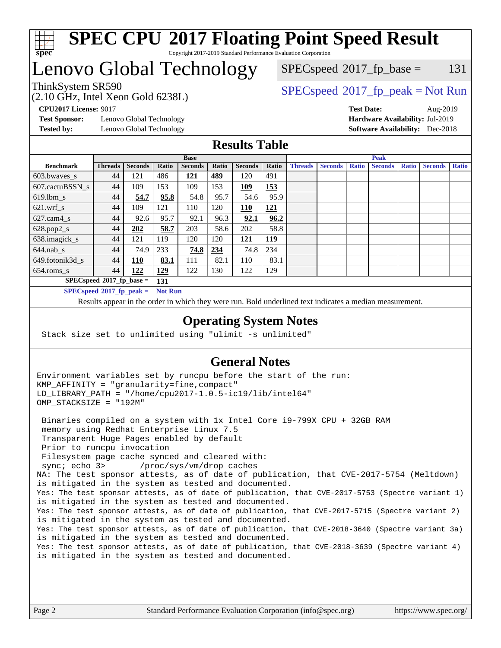

### **[SPEC CPU](http://www.spec.org/auto/cpu2017/Docs/result-fields.html#SPECCPU2017FloatingPointSpeedResult)[2017 Floating Point Speed Result](http://www.spec.org/auto/cpu2017/Docs/result-fields.html#SPECCPU2017FloatingPointSpeedResult)** Copyright 2017-2019 Standard Performance Evaluation Corporation

# Lenovo Global Technology

(2.10 GHz, Intel Xeon Gold 6238L)

 $SPEC speed^{\circ}2017\_fp\_base = 131$ 

### ThinkSystem SR590<br>  $SPEC speed^{\circ}2017$  [p\_peak = Not Run

**[Test Sponsor:](http://www.spec.org/auto/cpu2017/Docs/result-fields.html#TestSponsor)** Lenovo Global Technology **[Hardware Availability:](http://www.spec.org/auto/cpu2017/Docs/result-fields.html#HardwareAvailability)** Jul-2019 **[Tested by:](http://www.spec.org/auto/cpu2017/Docs/result-fields.html#Testedby)** Lenovo Global Technology **[Software Availability:](http://www.spec.org/auto/cpu2017/Docs/result-fields.html#SoftwareAvailability)** Dec-2018

**[CPU2017 License:](http://www.spec.org/auto/cpu2017/Docs/result-fields.html#CPU2017License)** 9017 **[Test Date:](http://www.spec.org/auto/cpu2017/Docs/result-fields.html#TestDate)** Aug-2019

### **[Results Table](http://www.spec.org/auto/cpu2017/Docs/result-fields.html#ResultsTable)**

|                                              | <b>Base</b>    |                |            |                | <b>Peak</b> |                |            |                |                |              |                |              |                |              |
|----------------------------------------------|----------------|----------------|------------|----------------|-------------|----------------|------------|----------------|----------------|--------------|----------------|--------------|----------------|--------------|
| <b>Benchmark</b>                             | <b>Threads</b> | <b>Seconds</b> | Ratio      | <b>Seconds</b> | Ratio       | <b>Seconds</b> | Ratio      | <b>Threads</b> | <b>Seconds</b> | <b>Ratio</b> | <b>Seconds</b> | <b>Ratio</b> | <b>Seconds</b> | <b>Ratio</b> |
| $603.bwaves$ s                               | 44             | 121            | 486        | 121            | <u>489</u>  | 120            | 491        |                |                |              |                |              |                |              |
| 607.cactuBSSN s                              | 44             | 109            | 153        | 109            | 153         | 109            | <u>153</u> |                |                |              |                |              |                |              |
| $619.$ lbm s                                 | 44             | 54.7           | 95.8       | 54.8           | 95.7        | 54.6           | 95.9       |                |                |              |                |              |                |              |
| $621.wrf$ s                                  | 44             | 109            | 121        | 110            | 120         | 110            | 121        |                |                |              |                |              |                |              |
| $627$ .cam $4 \text{ s}$                     | 44             | 92.6           | 95.7       | 92.1           | 96.3        | 92.1           | 96.2       |                |                |              |                |              |                |              |
| $628.pop2_s$                                 | 44             | 202            | 58.7       | 203            | 58.6        | 202            | 58.8       |                |                |              |                |              |                |              |
| 638.imagick_s                                | 44             | 121            | 119        | 120            | 120         | 121            | <u>119</u> |                |                |              |                |              |                |              |
| $644$ .nab s                                 | 44             | 74.9           | 233        | 74.8           | 234         | 74.8           | 234        |                |                |              |                |              |                |              |
| 649.fotonik3d s                              | 44             | 110            | 83.1       | 111            | 82.1        | 110            | 83.1       |                |                |              |                |              |                |              |
| $654$ .roms s                                | 44             | 122            | <b>129</b> | 122            | 130         | 122            | 129        |                |                |              |                |              |                |              |
| $SPECspeed*2017_fp\_base =$<br>131           |                |                |            |                |             |                |            |                |                |              |                |              |                |              |
| $SPECspeed*2017 fp_peak =$<br><b>Not Run</b> |                |                |            |                |             |                |            |                |                |              |                |              |                |              |

Results appear in the [order in which they were run.](http://www.spec.org/auto/cpu2017/Docs/result-fields.html#RunOrder) Bold underlined text [indicates a median measurement](http://www.spec.org/auto/cpu2017/Docs/result-fields.html#Median).

### **[Operating System Notes](http://www.spec.org/auto/cpu2017/Docs/result-fields.html#OperatingSystemNotes)**

Stack size set to unlimited using "ulimit -s unlimited"

### **[General Notes](http://www.spec.org/auto/cpu2017/Docs/result-fields.html#GeneralNotes)**

Environment variables set by runcpu before the start of the run: KMP\_AFFINITY = "granularity=fine,compact" LD\_LIBRARY\_PATH = "/home/cpu2017-1.0.5-ic19/lib/intel64" OMP\_STACKSIZE = "192M"

 Binaries compiled on a system with 1x Intel Core i9-799X CPU + 32GB RAM memory using Redhat Enterprise Linux 7.5 Transparent Huge Pages enabled by default Prior to runcpu invocation Filesystem page cache synced and cleared with: sync; echo 3> /proc/sys/vm/drop\_caches NA: The test sponsor attests, as of date of publication, that CVE-2017-5754 (Meltdown) is mitigated in the system as tested and documented. Yes: The test sponsor attests, as of date of publication, that CVE-2017-5753 (Spectre variant 1) is mitigated in the system as tested and documented. Yes: The test sponsor attests, as of date of publication, that CVE-2017-5715 (Spectre variant 2) is mitigated in the system as tested and documented. Yes: The test sponsor attests, as of date of publication, that CVE-2018-3640 (Spectre variant 3a) is mitigated in the system as tested and documented. Yes: The test sponsor attests, as of date of publication, that CVE-2018-3639 (Spectre variant 4) is mitigated in the system as tested and documented.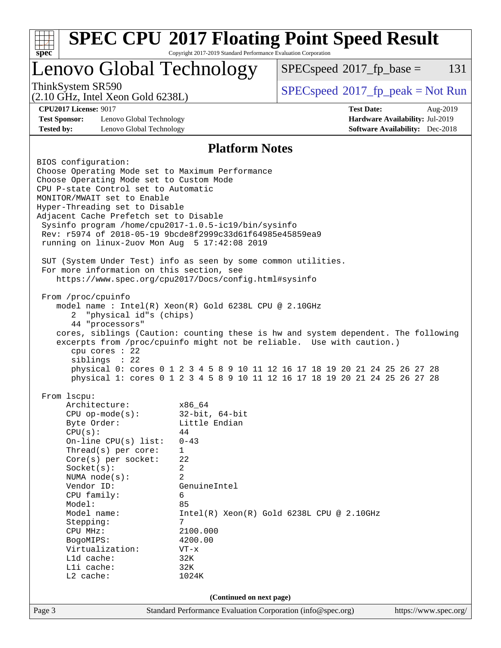| <b>SPEC CPU®2017 Floating Point Speed Result</b><br>Copyright 2017-2019 Standard Performance Evaluation Corporation<br>spec <sup>®</sup>                                                                                      |                                                                                                                                                                                                                                                                                                                            |                                                                                                                                                                                                                                                                                                                                                             |                                                                                                                                                                                                                                                                                                                           |                       |     |  |
|-------------------------------------------------------------------------------------------------------------------------------------------------------------------------------------------------------------------------------|----------------------------------------------------------------------------------------------------------------------------------------------------------------------------------------------------------------------------------------------------------------------------------------------------------------------------|-------------------------------------------------------------------------------------------------------------------------------------------------------------------------------------------------------------------------------------------------------------------------------------------------------------------------------------------------------------|---------------------------------------------------------------------------------------------------------------------------------------------------------------------------------------------------------------------------------------------------------------------------------------------------------------------------|-----------------------|-----|--|
|                                                                                                                                                                                                                               |                                                                                                                                                                                                                                                                                                                            | Lenovo Global Technology                                                                                                                                                                                                                                                                                                                                    | $SPEC speed^{\circ}2017$ _fp_base =                                                                                                                                                                                                                                                                                       |                       | 131 |  |
| ThinkSystem SR590<br>$(2.10 \text{ GHz}, \text{Intel Xeon Gold } 6238L)$<br><b>CPU2017 License: 9017</b><br><b>Test Sponsor:</b><br>Lenovo Global Technology<br><b>Tested by:</b><br>Lenovo Global Technology                 |                                                                                                                                                                                                                                                                                                                            |                                                                                                                                                                                                                                                                                                                                                             | $SPEC speed^{\circ}2017\_fp\_peak = Not Run$                                                                                                                                                                                                                                                                              |                       |     |  |
|                                                                                                                                                                                                                               |                                                                                                                                                                                                                                                                                                                            |                                                                                                                                                                                                                                                                                                                                                             | <b>Test Date:</b><br>Aug-2019<br>Hardware Availability: Jul-2019<br><b>Software Availability:</b> Dec-2018                                                                                                                                                                                                                |                       |     |  |
|                                                                                                                                                                                                                               |                                                                                                                                                                                                                                                                                                                            | <b>Platform Notes</b>                                                                                                                                                                                                                                                                                                                                       |                                                                                                                                                                                                                                                                                                                           |                       |     |  |
| From /proc/cpuinfo<br>2                                                                                                                                                                                                       | Choose Operating Mode set to Custom Mode<br>CPU P-state Control set to Automatic<br>MONITOR/MWAIT set to Enable<br>Hyper-Threading set to Disable<br>Adjacent Cache Prefetch set to Disable<br>For more information on this section, see<br>"physical id"s (chips)<br>44 "processors"<br>cpu cores $: 22$<br>siblings : 22 | Sysinfo program /home/cpu2017-1.0.5-ic19/bin/sysinfo<br>Rev: r5974 of 2018-05-19 9bcde8f2999c33d61f64985e45859ea9<br>running on linux-2uov Mon Aug 5 17:42:08 2019<br>SUT (System Under Test) info as seen by some common utilities.<br>https://www.spec.org/cpu2017/Docs/config.html#sysinfo<br>model name: $Intel(R)$ Xeon $(R)$ Gold 6238L CPU @ 2.10GHz | cores, siblings (Caution: counting these is hw and system dependent. The following<br>excerpts from /proc/cpuinfo might not be reliable. Use with caution.)<br>physical 0: cores 0 1 2 3 4 5 8 9 10 11 12 16 17 18 19 20 21 24 25 26 27 28<br>physical 1: cores 0 1 2 3 4 5 8 9 10 11 12 16 17 18 19 20 21 24 25 26 27 28 |                       |     |  |
| From lscpu:<br>Architecture:<br>Byte Order:<br>CPU(s):<br>Socket(s):<br>NUMA $node(s)$ :<br>Vendor ID:<br>CPU family:<br>Model:<br>Model name:<br>Stepping:<br>CPU MHz:<br>BogoMIPS:<br>L1d cache:<br>Lli cache:<br>L2 cache: | $CPU$ op-mode( $s$ ):<br>On-line $CPU(s)$ list:<br>Thread(s) per core:<br>Core(s) per socket:<br>Virtualization:                                                                                                                                                                                                           | x86_64<br>$32$ -bit, $64$ -bit<br>Little Endian<br>44<br>$0 - 43$<br>$\mathbf{1}$<br>22<br>2<br>2<br>GenuineIntel<br>6<br>85<br>7<br>2100.000<br>4200.00<br>$VT - x$<br>32K<br>32K<br>1024K                                                                                                                                                                 | $Intel(R) Xeon(R) Gold 6238L CPU @ 2.10GHz$                                                                                                                                                                                                                                                                               |                       |     |  |
| (Continued on next page)                                                                                                                                                                                                      |                                                                                                                                                                                                                                                                                                                            |                                                                                                                                                                                                                                                                                                                                                             |                                                                                                                                                                                                                                                                                                                           |                       |     |  |
| Page 3                                                                                                                                                                                                                        |                                                                                                                                                                                                                                                                                                                            | Standard Performance Evaluation Corporation (info@spec.org)                                                                                                                                                                                                                                                                                                 |                                                                                                                                                                                                                                                                                                                           | https://www.spec.org/ |     |  |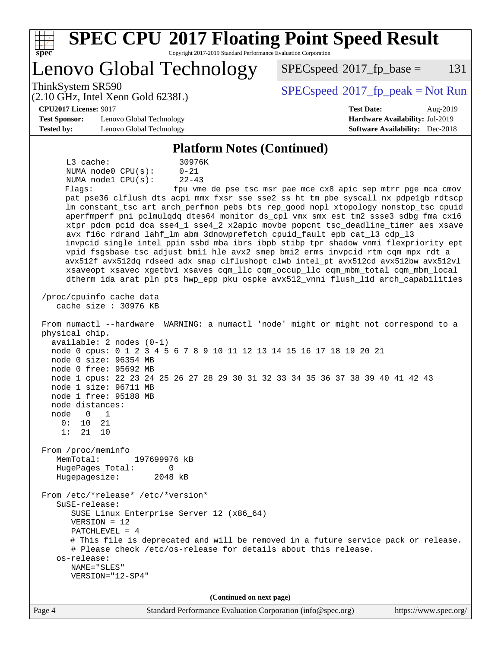| <b>SPEC CPU®2017 Floating Point Speed Result</b><br>Copyright 2017-2019 Standard Performance Evaluation Corporation<br>spec <sup>®</sup>                                                                                                                                                                                                                                                                                                                                                                                                                                                                                                                                                                                                                                                                                                                                                                                                                                                                                                                                                                                                                                                                                                                                                                                                                                                                                                                                                                                                                                                                                                                                                                                                                                                                                                                                                                                                                                                      |                                                               |
|-----------------------------------------------------------------------------------------------------------------------------------------------------------------------------------------------------------------------------------------------------------------------------------------------------------------------------------------------------------------------------------------------------------------------------------------------------------------------------------------------------------------------------------------------------------------------------------------------------------------------------------------------------------------------------------------------------------------------------------------------------------------------------------------------------------------------------------------------------------------------------------------------------------------------------------------------------------------------------------------------------------------------------------------------------------------------------------------------------------------------------------------------------------------------------------------------------------------------------------------------------------------------------------------------------------------------------------------------------------------------------------------------------------------------------------------------------------------------------------------------------------------------------------------------------------------------------------------------------------------------------------------------------------------------------------------------------------------------------------------------------------------------------------------------------------------------------------------------------------------------------------------------------------------------------------------------------------------------------------------------|---------------------------------------------------------------|
| Lenovo Global Technology                                                                                                                                                                                                                                                                                                                                                                                                                                                                                                                                                                                                                                                                                                                                                                                                                                                                                                                                                                                                                                                                                                                                                                                                                                                                                                                                                                                                                                                                                                                                                                                                                                                                                                                                                                                                                                                                                                                                                                      | 131<br>$SPEC speed^{\circ}2017$ _fp_base =                    |
| ThinkSystem SR590<br>$(2.10 \text{ GHz}, \text{Intel Xeon Gold } 6238L)$                                                                                                                                                                                                                                                                                                                                                                                                                                                                                                                                                                                                                                                                                                                                                                                                                                                                                                                                                                                                                                                                                                                                                                                                                                                                                                                                                                                                                                                                                                                                                                                                                                                                                                                                                                                                                                                                                                                      | $SPEC speed$ <sup>®</sup> 2017_fp_peak = Not Run              |
| <b>CPU2017 License: 9017</b>                                                                                                                                                                                                                                                                                                                                                                                                                                                                                                                                                                                                                                                                                                                                                                                                                                                                                                                                                                                                                                                                                                                                                                                                                                                                                                                                                                                                                                                                                                                                                                                                                                                                                                                                                                                                                                                                                                                                                                  | <b>Test Date:</b><br>Aug-2019                                 |
| <b>Test Sponsor:</b><br>Lenovo Global Technology                                                                                                                                                                                                                                                                                                                                                                                                                                                                                                                                                                                                                                                                                                                                                                                                                                                                                                                                                                                                                                                                                                                                                                                                                                                                                                                                                                                                                                                                                                                                                                                                                                                                                                                                                                                                                                                                                                                                              | Hardware Availability: Jul-2019                               |
| <b>Tested by:</b><br>Lenovo Global Technology                                                                                                                                                                                                                                                                                                                                                                                                                                                                                                                                                                                                                                                                                                                                                                                                                                                                                                                                                                                                                                                                                                                                                                                                                                                                                                                                                                                                                                                                                                                                                                                                                                                                                                                                                                                                                                                                                                                                                 | <b>Software Availability:</b> Dec-2018                        |
| <b>Platform Notes (Continued)</b>                                                                                                                                                                                                                                                                                                                                                                                                                                                                                                                                                                                                                                                                                                                                                                                                                                                                                                                                                                                                                                                                                                                                                                                                                                                                                                                                                                                                                                                                                                                                                                                                                                                                                                                                                                                                                                                                                                                                                             |                                                               |
| $L3$ cache:<br>30976K<br>NUMA node0 CPU(s):<br>$0 - 21$<br>NUMA nodel CPU(s):<br>$22 - 43$<br>Flags:<br>pat pse36 clflush dts acpi mmx fxsr sse sse2 ss ht tm pbe syscall nx pdpe1gb rdtscp<br>lm constant_tsc art arch_perfmon pebs bts rep_good nopl xtopology nonstop_tsc cpuid<br>aperfmperf pni pclmulqdq dtes64 monitor ds_cpl vmx smx est tm2 ssse3 sdbg fma cx16<br>xtpr pdcm pcid dca sse4_1 sse4_2 x2apic movbe popcnt tsc_deadline_timer aes xsave<br>avx f16c rdrand lahf_lm abm 3dnowprefetch cpuid_fault epb cat_13 cdp_13<br>invpcid_single intel_ppin ssbd mba ibrs ibpb stibp tpr_shadow vnmi flexpriority ept<br>vpid fsgsbase tsc_adjust bmil hle avx2 smep bmi2 erms invpcid rtm cqm mpx rdt_a<br>avx512f avx512dq rdseed adx smap clflushopt clwb intel_pt avx512cd avx512bw avx512vl<br>xsaveopt xsavec xgetbvl xsaves cqm_llc cqm_occup_llc cqm_mbm_total cqm_mbm_local<br>dtherm ida arat pln pts hwp_epp pku ospke avx512_vnni flush_lld arch_capabilities<br>/proc/cpuinfo cache data<br>cache size : 30976 KB<br>From numactl --hardware WARNING: a numactl 'node' might or might not correspond to a<br>physical chip.<br>$available: 2 nodes (0-1)$<br>node 0 cpus: 0 1 2 3 4 5 6 7 8 9 10 11 12 13 14 15 16 17 18 19 20 21<br>node 0 size: 96354 MB<br>node 0 free: 95692 MB<br>node 1 cpus: 22 23 24 25 26 27 28 29 30 31 32 33 34 35 36 37 38 39 40 41 42 43<br>node 1 size: 96711 MB<br>node 1 free: 95188 MB<br>node distances:<br>node<br>$\mathbf 0$<br>1<br>0 :<br>10<br>21<br>1:<br>21<br>10<br>From /proc/meminfo<br>MemTotal:<br>197699976 kB<br>HugePages_Total:<br>0<br>Hugepagesize:<br>2048 kB<br>From /etc/*release* /etc/*version*<br>SuSE-release:<br>SUSE Linux Enterprise Server 12 (x86_64)<br>$VERSION = 12$<br>PATCHLEVEL = $4$<br># This file is deprecated and will be removed in a future service pack or release.<br># Please check /etc/os-release for details about this release.<br>os-release:<br>NAME="SLES"<br>VERSION="12-SP4" | fpu vme de pse tsc msr pae mce cx8 apic sep mtrr pge mca cmov |
| (Continued on next page)                                                                                                                                                                                                                                                                                                                                                                                                                                                                                                                                                                                                                                                                                                                                                                                                                                                                                                                                                                                                                                                                                                                                                                                                                                                                                                                                                                                                                                                                                                                                                                                                                                                                                                                                                                                                                                                                                                                                                                      |                                                               |
| Page 4<br>Standard Performance Evaluation Corporation (info@spec.org)                                                                                                                                                                                                                                                                                                                                                                                                                                                                                                                                                                                                                                                                                                                                                                                                                                                                                                                                                                                                                                                                                                                                                                                                                                                                                                                                                                                                                                                                                                                                                                                                                                                                                                                                                                                                                                                                                                                         | https://www.spec.org/                                         |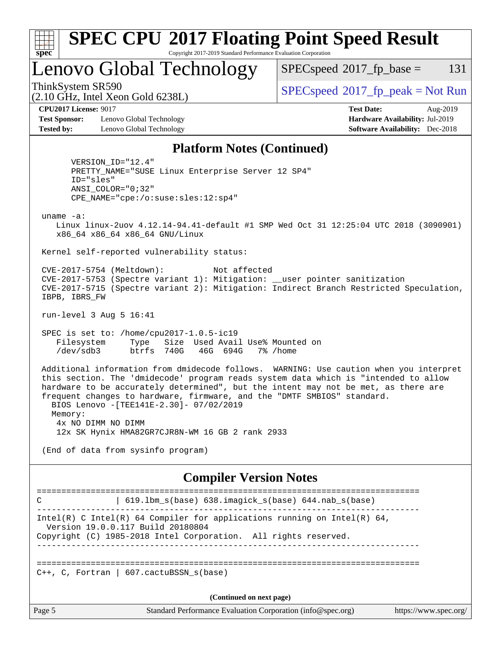

run-level 3 Aug 5 16:41

 SPEC is set to: /home/cpu2017-1.0.5-ic19 Filesystem Type Size Used Avail Use% Mounted on /dev/sdb3 btrfs 740G 46G 694G 7% /home

 Additional information from dmidecode follows. WARNING: Use caution when you interpret this section. The 'dmidecode' program reads system data which is "intended to allow hardware to be accurately determined", but the intent may not be met, as there are frequent changes to hardware, firmware, and the "DMTF SMBIOS" standard. BIOS Lenovo -[TEE141E-2.30]- 07/02/2019 Memory: 4x NO DIMM NO DIMM 12x SK Hynix HMA82GR7CJR8N-WM 16 GB 2 rank 2933

(End of data from sysinfo program)

### **[Compiler Version Notes](http://www.spec.org/auto/cpu2017/Docs/result-fields.html#CompilerVersionNotes)**

============================================================================== C | 619.lbm\_s(base) 638.imagick\_s(base) 644.nab\_s(base) ------------------------------------------------------------------------------ Intel(R) C Intel(R) 64 Compiler for applications running on Intel(R)  $64$ , Version 19.0.0.117 Build 20180804 Copyright (C) 1985-2018 Intel Corporation. All rights reserved. ------------------------------------------------------------------------------ ==============================================================================  $C_{++}$ , C, Fortran | 607.cactuBSSN s(base) **(Continued on next page)**

Page 5 Standard Performance Evaluation Corporation [\(info@spec.org\)](mailto:info@spec.org) <https://www.spec.org/>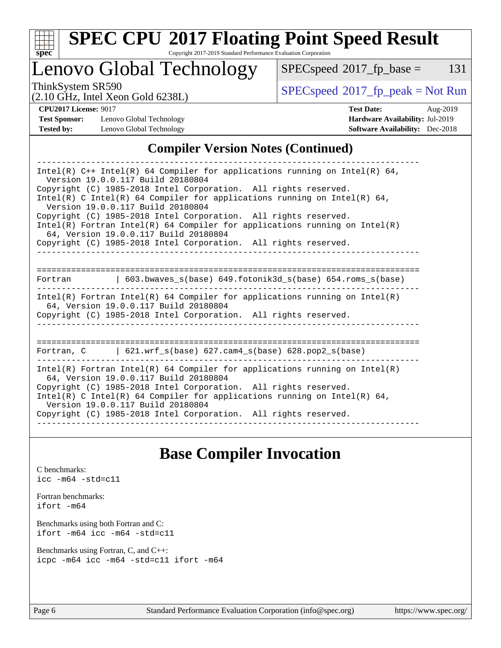

# **[SPEC CPU](http://www.spec.org/auto/cpu2017/Docs/result-fields.html#SPECCPU2017FloatingPointSpeedResult)[2017 Floating Point Speed Result](http://www.spec.org/auto/cpu2017/Docs/result-fields.html#SPECCPU2017FloatingPointSpeedResult)**

Copyright 2017-2019 Standard Performance Evaluation Corporation

# Lenovo Global Technology

 $SPECspeed^{\circledcirc}2017_fp\_base = 131$  $SPECspeed^{\circledcirc}2017_fp\_base = 131$ 

(2.10 GHz, Intel Xeon Gold 6238L)

ThinkSystem SR590<br>  $(2.10 \text{ GHz. Intel Yoon Gold } 62381)$  [SPECspeed](http://www.spec.org/auto/cpu2017/Docs/result-fields.html#SPECspeed2017fppeak)<sup>®</sup>[2017\\_fp\\_peak = N](http://www.spec.org/auto/cpu2017/Docs/result-fields.html#SPECspeed2017fppeak)ot Run

**[Test Sponsor:](http://www.spec.org/auto/cpu2017/Docs/result-fields.html#TestSponsor)** Lenovo Global Technology **[Hardware Availability:](http://www.spec.org/auto/cpu2017/Docs/result-fields.html#HardwareAvailability)** Jul-2019 **[Tested by:](http://www.spec.org/auto/cpu2017/Docs/result-fields.html#Testedby)** Lenovo Global Technology **[Software Availability:](http://www.spec.org/auto/cpu2017/Docs/result-fields.html#SoftwareAvailability)** Dec-2018

**[CPU2017 License:](http://www.spec.org/auto/cpu2017/Docs/result-fields.html#CPU2017License)** 9017 **[Test Date:](http://www.spec.org/auto/cpu2017/Docs/result-fields.html#TestDate)** Aug-2019

### **[Compiler Version Notes \(Continued\)](http://www.spec.org/auto/cpu2017/Docs/result-fields.html#CompilerVersionNotes)**

| Intel(R) $C++$ Intel(R) 64 Compiler for applications running on Intel(R) 64,<br>Version 19.0.0.117 Build 20180804                                                                      |  |  |  |  |  |  |  |
|----------------------------------------------------------------------------------------------------------------------------------------------------------------------------------------|--|--|--|--|--|--|--|
| Copyright (C) 1985-2018 Intel Corporation. All rights reserved.<br>Intel(R) C Intel(R) 64 Compiler for applications running on Intel(R) 64,<br>Version 19.0.0.117 Build 20180804       |  |  |  |  |  |  |  |
| Copyright (C) 1985-2018 Intel Corporation. All rights reserved.<br>Intel(R) Fortran Intel(R) 64 Compiler for applications running on Intel(R)                                          |  |  |  |  |  |  |  |
| 64, Version 19.0.0.117 Build 20180804<br>Copyright (C) 1985-2018 Intel Corporation. All rights reserved.                                                                               |  |  |  |  |  |  |  |
|                                                                                                                                                                                        |  |  |  |  |  |  |  |
| Fortran (603.bwaves s(base) 649.fotonik3d s(base) 654.roms s(base)                                                                                                                     |  |  |  |  |  |  |  |
| Intel(R) Fortran Intel(R) 64 Compiler for applications running on Intel(R)<br>64, Version 19.0.0.117 Build 20180804<br>Copyright (C) 1985-2018 Intel Corporation. All rights reserved. |  |  |  |  |  |  |  |
|                                                                                                                                                                                        |  |  |  |  |  |  |  |
| Fortran, C   621.wrf_s(base) 627.cam4_s(base) 628.pop2_s(base)                                                                                                                         |  |  |  |  |  |  |  |
| $Intel(R)$ Fortran Intel(R) 64 Compiler for applications running on Intel(R)<br>64, Version 19.0.0.117 Build 20180804                                                                  |  |  |  |  |  |  |  |
| Copyright (C) 1985-2018 Intel Corporation. All rights reserved.<br>Intel(R) C Intel(R) 64 Compiler for applications running on Intel(R) 64,<br>Version 19.0.0.117 Build 20180804       |  |  |  |  |  |  |  |
| Copyright (C) 1985-2018 Intel Corporation. All rights reserved.                                                                                                                        |  |  |  |  |  |  |  |

# **[Base Compiler Invocation](http://www.spec.org/auto/cpu2017/Docs/result-fields.html#BaseCompilerInvocation)**

[C benchmarks](http://www.spec.org/auto/cpu2017/Docs/result-fields.html#Cbenchmarks): [icc -m64 -std=c11](http://www.spec.org/cpu2017/results/res2019q3/cpu2017-20190819-16978.flags.html#user_CCbase_intel_icc_64bit_c11_33ee0cdaae7deeeab2a9725423ba97205ce30f63b9926c2519791662299b76a0318f32ddfffdc46587804de3178b4f9328c46fa7c2b0cd779d7a61945c91cd35)

[Fortran benchmarks](http://www.spec.org/auto/cpu2017/Docs/result-fields.html#Fortranbenchmarks): [ifort -m64](http://www.spec.org/cpu2017/results/res2019q3/cpu2017-20190819-16978.flags.html#user_FCbase_intel_ifort_64bit_24f2bb282fbaeffd6157abe4f878425411749daecae9a33200eee2bee2fe76f3b89351d69a8130dd5949958ce389cf37ff59a95e7a40d588e8d3a57e0c3fd751)

[Benchmarks using both Fortran and C](http://www.spec.org/auto/cpu2017/Docs/result-fields.html#BenchmarksusingbothFortranandC): [ifort -m64](http://www.spec.org/cpu2017/results/res2019q3/cpu2017-20190819-16978.flags.html#user_CC_FCbase_intel_ifort_64bit_24f2bb282fbaeffd6157abe4f878425411749daecae9a33200eee2bee2fe76f3b89351d69a8130dd5949958ce389cf37ff59a95e7a40d588e8d3a57e0c3fd751) [icc -m64 -std=c11](http://www.spec.org/cpu2017/results/res2019q3/cpu2017-20190819-16978.flags.html#user_CC_FCbase_intel_icc_64bit_c11_33ee0cdaae7deeeab2a9725423ba97205ce30f63b9926c2519791662299b76a0318f32ddfffdc46587804de3178b4f9328c46fa7c2b0cd779d7a61945c91cd35)

[Benchmarks using Fortran, C, and C++:](http://www.spec.org/auto/cpu2017/Docs/result-fields.html#BenchmarksusingFortranCandCXX) [icpc -m64](http://www.spec.org/cpu2017/results/res2019q3/cpu2017-20190819-16978.flags.html#user_CC_CXX_FCbase_intel_icpc_64bit_4ecb2543ae3f1412ef961e0650ca070fec7b7afdcd6ed48761b84423119d1bf6bdf5cad15b44d48e7256388bc77273b966e5eb805aefd121eb22e9299b2ec9d9) [icc -m64 -std=c11](http://www.spec.org/cpu2017/results/res2019q3/cpu2017-20190819-16978.flags.html#user_CC_CXX_FCbase_intel_icc_64bit_c11_33ee0cdaae7deeeab2a9725423ba97205ce30f63b9926c2519791662299b76a0318f32ddfffdc46587804de3178b4f9328c46fa7c2b0cd779d7a61945c91cd35) [ifort -m64](http://www.spec.org/cpu2017/results/res2019q3/cpu2017-20190819-16978.flags.html#user_CC_CXX_FCbase_intel_ifort_64bit_24f2bb282fbaeffd6157abe4f878425411749daecae9a33200eee2bee2fe76f3b89351d69a8130dd5949958ce389cf37ff59a95e7a40d588e8d3a57e0c3fd751)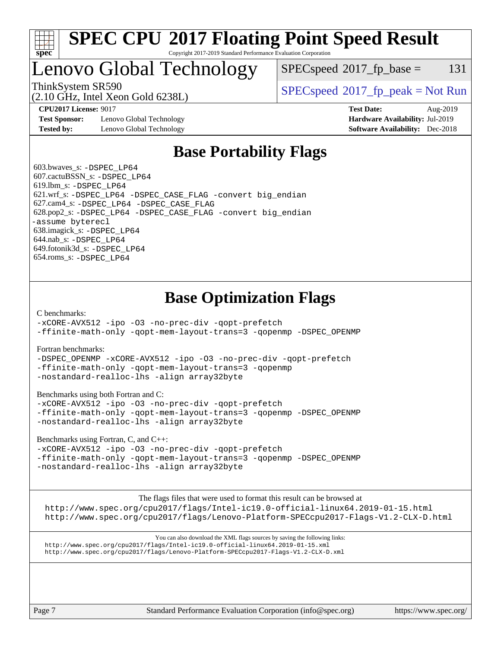

### **[SPEC CPU](http://www.spec.org/auto/cpu2017/Docs/result-fields.html#SPECCPU2017FloatingPointSpeedResult)[2017 Floating Point Speed Result](http://www.spec.org/auto/cpu2017/Docs/result-fields.html#SPECCPU2017FloatingPointSpeedResult)** Copyright 2017-2019 Standard Performance Evaluation Corporation

# Lenovo Global Technology

 $SPEC speed^{\circ}2017\_fp\_base = 131$ 

(2.10 GHz, Intel Xeon Gold 6238L)

ThinkSystem SR590<br>  $SPECspeed*2017_fp\_peak = Not Run$  $SPECspeed*2017_fp\_peak = Not Run$ 

**[Test Sponsor:](http://www.spec.org/auto/cpu2017/Docs/result-fields.html#TestSponsor)** Lenovo Global Technology **[Hardware Availability:](http://www.spec.org/auto/cpu2017/Docs/result-fields.html#HardwareAvailability)** Jul-2019 **[Tested by:](http://www.spec.org/auto/cpu2017/Docs/result-fields.html#Testedby)** Lenovo Global Technology **[Software Availability:](http://www.spec.org/auto/cpu2017/Docs/result-fields.html#SoftwareAvailability)** Dec-2018

**[CPU2017 License:](http://www.spec.org/auto/cpu2017/Docs/result-fields.html#CPU2017License)** 9017 **[Test Date:](http://www.spec.org/auto/cpu2017/Docs/result-fields.html#TestDate)** Aug-2019

# **[Base Portability Flags](http://www.spec.org/auto/cpu2017/Docs/result-fields.html#BasePortabilityFlags)**

 603.bwaves\_s: [-DSPEC\\_LP64](http://www.spec.org/cpu2017/results/res2019q3/cpu2017-20190819-16978.flags.html#suite_basePORTABILITY603_bwaves_s_DSPEC_LP64) 607.cactuBSSN\_s: [-DSPEC\\_LP64](http://www.spec.org/cpu2017/results/res2019q3/cpu2017-20190819-16978.flags.html#suite_basePORTABILITY607_cactuBSSN_s_DSPEC_LP64) 619.lbm\_s: [-DSPEC\\_LP64](http://www.spec.org/cpu2017/results/res2019q3/cpu2017-20190819-16978.flags.html#suite_basePORTABILITY619_lbm_s_DSPEC_LP64) 621.wrf\_s: [-DSPEC\\_LP64](http://www.spec.org/cpu2017/results/res2019q3/cpu2017-20190819-16978.flags.html#suite_basePORTABILITY621_wrf_s_DSPEC_LP64) [-DSPEC\\_CASE\\_FLAG](http://www.spec.org/cpu2017/results/res2019q3/cpu2017-20190819-16978.flags.html#b621.wrf_s_baseCPORTABILITY_DSPEC_CASE_FLAG) [-convert big\\_endian](http://www.spec.org/cpu2017/results/res2019q3/cpu2017-20190819-16978.flags.html#user_baseFPORTABILITY621_wrf_s_convert_big_endian_c3194028bc08c63ac5d04de18c48ce6d347e4e562e8892b8bdbdc0214820426deb8554edfa529a3fb25a586e65a3d812c835984020483e7e73212c4d31a38223) 627.cam4\_s: [-DSPEC\\_LP64](http://www.spec.org/cpu2017/results/res2019q3/cpu2017-20190819-16978.flags.html#suite_basePORTABILITY627_cam4_s_DSPEC_LP64) [-DSPEC\\_CASE\\_FLAG](http://www.spec.org/cpu2017/results/res2019q3/cpu2017-20190819-16978.flags.html#b627.cam4_s_baseCPORTABILITY_DSPEC_CASE_FLAG) 628.pop2\_s: [-DSPEC\\_LP64](http://www.spec.org/cpu2017/results/res2019q3/cpu2017-20190819-16978.flags.html#suite_basePORTABILITY628_pop2_s_DSPEC_LP64) [-DSPEC\\_CASE\\_FLAG](http://www.spec.org/cpu2017/results/res2019q3/cpu2017-20190819-16978.flags.html#b628.pop2_s_baseCPORTABILITY_DSPEC_CASE_FLAG) [-convert big\\_endian](http://www.spec.org/cpu2017/results/res2019q3/cpu2017-20190819-16978.flags.html#user_baseFPORTABILITY628_pop2_s_convert_big_endian_c3194028bc08c63ac5d04de18c48ce6d347e4e562e8892b8bdbdc0214820426deb8554edfa529a3fb25a586e65a3d812c835984020483e7e73212c4d31a38223) [-assume byterecl](http://www.spec.org/cpu2017/results/res2019q3/cpu2017-20190819-16978.flags.html#user_baseFPORTABILITY628_pop2_s_assume_byterecl_7e47d18b9513cf18525430bbf0f2177aa9bf368bc7a059c09b2c06a34b53bd3447c950d3f8d6c70e3faf3a05c8557d66a5798b567902e8849adc142926523472) 638.imagick\_s: [-DSPEC\\_LP64](http://www.spec.org/cpu2017/results/res2019q3/cpu2017-20190819-16978.flags.html#suite_basePORTABILITY638_imagick_s_DSPEC_LP64) 644.nab\_s: [-DSPEC\\_LP64](http://www.spec.org/cpu2017/results/res2019q3/cpu2017-20190819-16978.flags.html#suite_basePORTABILITY644_nab_s_DSPEC_LP64) 649.fotonik3d\_s: [-DSPEC\\_LP64](http://www.spec.org/cpu2017/results/res2019q3/cpu2017-20190819-16978.flags.html#suite_basePORTABILITY649_fotonik3d_s_DSPEC_LP64) 654.roms\_s: [-DSPEC\\_LP64](http://www.spec.org/cpu2017/results/res2019q3/cpu2017-20190819-16978.flags.html#suite_basePORTABILITY654_roms_s_DSPEC_LP64)

# **[Base Optimization Flags](http://www.spec.org/auto/cpu2017/Docs/result-fields.html#BaseOptimizationFlags)**

[C benchmarks](http://www.spec.org/auto/cpu2017/Docs/result-fields.html#Cbenchmarks):

[-xCORE-AVX512](http://www.spec.org/cpu2017/results/res2019q3/cpu2017-20190819-16978.flags.html#user_CCbase_f-xCORE-AVX512) [-ipo](http://www.spec.org/cpu2017/results/res2019q3/cpu2017-20190819-16978.flags.html#user_CCbase_f-ipo) [-O3](http://www.spec.org/cpu2017/results/res2019q3/cpu2017-20190819-16978.flags.html#user_CCbase_f-O3) [-no-prec-div](http://www.spec.org/cpu2017/results/res2019q3/cpu2017-20190819-16978.flags.html#user_CCbase_f-no-prec-div) [-qopt-prefetch](http://www.spec.org/cpu2017/results/res2019q3/cpu2017-20190819-16978.flags.html#user_CCbase_f-qopt-prefetch) [-ffinite-math-only](http://www.spec.org/cpu2017/results/res2019q3/cpu2017-20190819-16978.flags.html#user_CCbase_f_finite_math_only_cb91587bd2077682c4b38af759c288ed7c732db004271a9512da14a4f8007909a5f1427ecbf1a0fb78ff2a814402c6114ac565ca162485bbcae155b5e4258871) [-qopt-mem-layout-trans=3](http://www.spec.org/cpu2017/results/res2019q3/cpu2017-20190819-16978.flags.html#user_CCbase_f-qopt-mem-layout-trans_de80db37974c74b1f0e20d883f0b675c88c3b01e9d123adea9b28688d64333345fb62bc4a798493513fdb68f60282f9a726aa07f478b2f7113531aecce732043) [-qopenmp](http://www.spec.org/cpu2017/results/res2019q3/cpu2017-20190819-16978.flags.html#user_CCbase_qopenmp_16be0c44f24f464004c6784a7acb94aca937f053568ce72f94b139a11c7c168634a55f6653758ddd83bcf7b8463e8028bb0b48b77bcddc6b78d5d95bb1df2967) [-DSPEC\\_OPENMP](http://www.spec.org/cpu2017/results/res2019q3/cpu2017-20190819-16978.flags.html#suite_CCbase_DSPEC_OPENMP)

[Fortran benchmarks](http://www.spec.org/auto/cpu2017/Docs/result-fields.html#Fortranbenchmarks):

[-DSPEC\\_OPENMP](http://www.spec.org/cpu2017/results/res2019q3/cpu2017-20190819-16978.flags.html#suite_FCbase_DSPEC_OPENMP) [-xCORE-AVX512](http://www.spec.org/cpu2017/results/res2019q3/cpu2017-20190819-16978.flags.html#user_FCbase_f-xCORE-AVX512) [-ipo](http://www.spec.org/cpu2017/results/res2019q3/cpu2017-20190819-16978.flags.html#user_FCbase_f-ipo) [-O3](http://www.spec.org/cpu2017/results/res2019q3/cpu2017-20190819-16978.flags.html#user_FCbase_f-O3) [-no-prec-div](http://www.spec.org/cpu2017/results/res2019q3/cpu2017-20190819-16978.flags.html#user_FCbase_f-no-prec-div) [-qopt-prefetch](http://www.spec.org/cpu2017/results/res2019q3/cpu2017-20190819-16978.flags.html#user_FCbase_f-qopt-prefetch) [-ffinite-math-only](http://www.spec.org/cpu2017/results/res2019q3/cpu2017-20190819-16978.flags.html#user_FCbase_f_finite_math_only_cb91587bd2077682c4b38af759c288ed7c732db004271a9512da14a4f8007909a5f1427ecbf1a0fb78ff2a814402c6114ac565ca162485bbcae155b5e4258871) [-qopt-mem-layout-trans=3](http://www.spec.org/cpu2017/results/res2019q3/cpu2017-20190819-16978.flags.html#user_FCbase_f-qopt-mem-layout-trans_de80db37974c74b1f0e20d883f0b675c88c3b01e9d123adea9b28688d64333345fb62bc4a798493513fdb68f60282f9a726aa07f478b2f7113531aecce732043) [-qopenmp](http://www.spec.org/cpu2017/results/res2019q3/cpu2017-20190819-16978.flags.html#user_FCbase_qopenmp_16be0c44f24f464004c6784a7acb94aca937f053568ce72f94b139a11c7c168634a55f6653758ddd83bcf7b8463e8028bb0b48b77bcddc6b78d5d95bb1df2967) [-nostandard-realloc-lhs](http://www.spec.org/cpu2017/results/res2019q3/cpu2017-20190819-16978.flags.html#user_FCbase_f_2003_std_realloc_82b4557e90729c0f113870c07e44d33d6f5a304b4f63d4c15d2d0f1fab99f5daaed73bdb9275d9ae411527f28b936061aa8b9c8f2d63842963b95c9dd6426b8a) [-align array32byte](http://www.spec.org/cpu2017/results/res2019q3/cpu2017-20190819-16978.flags.html#user_FCbase_align_array32byte_b982fe038af199962ba9a80c053b8342c548c85b40b8e86eb3cc33dee0d7986a4af373ac2d51c3f7cf710a18d62fdce2948f201cd044323541f22fc0fffc51b6)

[Benchmarks using both Fortran and C](http://www.spec.org/auto/cpu2017/Docs/result-fields.html#BenchmarksusingbothFortranandC):

[-xCORE-AVX512](http://www.spec.org/cpu2017/results/res2019q3/cpu2017-20190819-16978.flags.html#user_CC_FCbase_f-xCORE-AVX512) [-ipo](http://www.spec.org/cpu2017/results/res2019q3/cpu2017-20190819-16978.flags.html#user_CC_FCbase_f-ipo) [-O3](http://www.spec.org/cpu2017/results/res2019q3/cpu2017-20190819-16978.flags.html#user_CC_FCbase_f-O3) [-no-prec-div](http://www.spec.org/cpu2017/results/res2019q3/cpu2017-20190819-16978.flags.html#user_CC_FCbase_f-no-prec-div) [-qopt-prefetch](http://www.spec.org/cpu2017/results/res2019q3/cpu2017-20190819-16978.flags.html#user_CC_FCbase_f-qopt-prefetch) [-ffinite-math-only](http://www.spec.org/cpu2017/results/res2019q3/cpu2017-20190819-16978.flags.html#user_CC_FCbase_f_finite_math_only_cb91587bd2077682c4b38af759c288ed7c732db004271a9512da14a4f8007909a5f1427ecbf1a0fb78ff2a814402c6114ac565ca162485bbcae155b5e4258871) [-qopt-mem-layout-trans=3](http://www.spec.org/cpu2017/results/res2019q3/cpu2017-20190819-16978.flags.html#user_CC_FCbase_f-qopt-mem-layout-trans_de80db37974c74b1f0e20d883f0b675c88c3b01e9d123adea9b28688d64333345fb62bc4a798493513fdb68f60282f9a726aa07f478b2f7113531aecce732043) [-qopenmp](http://www.spec.org/cpu2017/results/res2019q3/cpu2017-20190819-16978.flags.html#user_CC_FCbase_qopenmp_16be0c44f24f464004c6784a7acb94aca937f053568ce72f94b139a11c7c168634a55f6653758ddd83bcf7b8463e8028bb0b48b77bcddc6b78d5d95bb1df2967) [-DSPEC\\_OPENMP](http://www.spec.org/cpu2017/results/res2019q3/cpu2017-20190819-16978.flags.html#suite_CC_FCbase_DSPEC_OPENMP) [-nostandard-realloc-lhs](http://www.spec.org/cpu2017/results/res2019q3/cpu2017-20190819-16978.flags.html#user_CC_FCbase_f_2003_std_realloc_82b4557e90729c0f113870c07e44d33d6f5a304b4f63d4c15d2d0f1fab99f5daaed73bdb9275d9ae411527f28b936061aa8b9c8f2d63842963b95c9dd6426b8a) [-align array32byte](http://www.spec.org/cpu2017/results/res2019q3/cpu2017-20190819-16978.flags.html#user_CC_FCbase_align_array32byte_b982fe038af199962ba9a80c053b8342c548c85b40b8e86eb3cc33dee0d7986a4af373ac2d51c3f7cf710a18d62fdce2948f201cd044323541f22fc0fffc51b6)

[Benchmarks using Fortran, C, and C++:](http://www.spec.org/auto/cpu2017/Docs/result-fields.html#BenchmarksusingFortranCandCXX)

[-xCORE-AVX512](http://www.spec.org/cpu2017/results/res2019q3/cpu2017-20190819-16978.flags.html#user_CC_CXX_FCbase_f-xCORE-AVX512) [-ipo](http://www.spec.org/cpu2017/results/res2019q3/cpu2017-20190819-16978.flags.html#user_CC_CXX_FCbase_f-ipo) [-O3](http://www.spec.org/cpu2017/results/res2019q3/cpu2017-20190819-16978.flags.html#user_CC_CXX_FCbase_f-O3) [-no-prec-div](http://www.spec.org/cpu2017/results/res2019q3/cpu2017-20190819-16978.flags.html#user_CC_CXX_FCbase_f-no-prec-div) [-qopt-prefetch](http://www.spec.org/cpu2017/results/res2019q3/cpu2017-20190819-16978.flags.html#user_CC_CXX_FCbase_f-qopt-prefetch) [-ffinite-math-only](http://www.spec.org/cpu2017/results/res2019q3/cpu2017-20190819-16978.flags.html#user_CC_CXX_FCbase_f_finite_math_only_cb91587bd2077682c4b38af759c288ed7c732db004271a9512da14a4f8007909a5f1427ecbf1a0fb78ff2a814402c6114ac565ca162485bbcae155b5e4258871) [-qopt-mem-layout-trans=3](http://www.spec.org/cpu2017/results/res2019q3/cpu2017-20190819-16978.flags.html#user_CC_CXX_FCbase_f-qopt-mem-layout-trans_de80db37974c74b1f0e20d883f0b675c88c3b01e9d123adea9b28688d64333345fb62bc4a798493513fdb68f60282f9a726aa07f478b2f7113531aecce732043) [-qopenmp](http://www.spec.org/cpu2017/results/res2019q3/cpu2017-20190819-16978.flags.html#user_CC_CXX_FCbase_qopenmp_16be0c44f24f464004c6784a7acb94aca937f053568ce72f94b139a11c7c168634a55f6653758ddd83bcf7b8463e8028bb0b48b77bcddc6b78d5d95bb1df2967) [-DSPEC\\_OPENMP](http://www.spec.org/cpu2017/results/res2019q3/cpu2017-20190819-16978.flags.html#suite_CC_CXX_FCbase_DSPEC_OPENMP) [-nostandard-realloc-lhs](http://www.spec.org/cpu2017/results/res2019q3/cpu2017-20190819-16978.flags.html#user_CC_CXX_FCbase_f_2003_std_realloc_82b4557e90729c0f113870c07e44d33d6f5a304b4f63d4c15d2d0f1fab99f5daaed73bdb9275d9ae411527f28b936061aa8b9c8f2d63842963b95c9dd6426b8a) [-align array32byte](http://www.spec.org/cpu2017/results/res2019q3/cpu2017-20190819-16978.flags.html#user_CC_CXX_FCbase_align_array32byte_b982fe038af199962ba9a80c053b8342c548c85b40b8e86eb3cc33dee0d7986a4af373ac2d51c3f7cf710a18d62fdce2948f201cd044323541f22fc0fffc51b6)

[The flags files that were used to format this result can be browsed at](tmsearch)

<http://www.spec.org/cpu2017/flags/Intel-ic19.0-official-linux64.2019-01-15.html> <http://www.spec.org/cpu2017/flags/Lenovo-Platform-SPECcpu2017-Flags-V1.2-CLX-D.html>

[You can also download the XML flags sources by saving the following links:](tmsearch) <http://www.spec.org/cpu2017/flags/Intel-ic19.0-official-linux64.2019-01-15.xml> <http://www.spec.org/cpu2017/flags/Lenovo-Platform-SPECcpu2017-Flags-V1.2-CLX-D.xml>